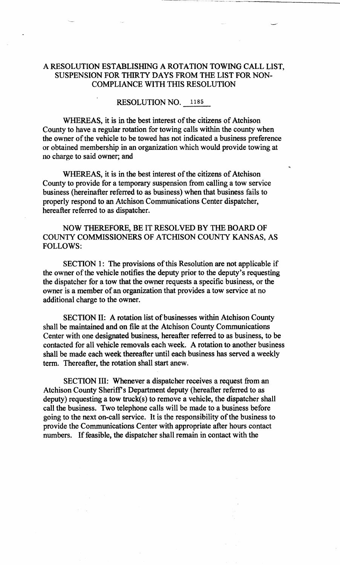## **A RESOLUTION ESTABLISHING A ROTATION TOWING CALL LIST, SUSPENSION FOR THIRTY DAYS FROM THE LIST FOR NON-COMPLIANCE WITH THIS RESOLUTION**

## **RESOLUTION NO.** 1185

**WHEREAS, it is in the best interest of the citizens of Atchison County to have a regular rotation for towing calls within the county when the owner of the vehicle to be towed has not indicated a business preference or obtained membership in an organization which would provide towing at no charge to said owner; and** 

**WHEREAS, it is in the best interest of the citizens of Atchison County to provide for a temporary suspension from calling a tow service business (hereinafter referred to as business) when that business fails to properly respond to an Atchison Communications Center dispatcher, hereafter referred to as dispatcher.** 

**NOW THEREFORE, BE IT RESOLVED BY THE BOARD OF COUNTY COMMISSIONERS OF ATCHISON COUNTY KANSAS, AS FOLLOWS:** 

**SECTION 1: The provisions of this Resolution are not applicable if the owner of the vehicle notifies the deputy prior to the deputy's requesting the dispatcher for a tow that the owner requests a specific business, or the owner is a member of an organization that provides a tow service at no additional charge to the owner.** 

**SECTION II: A rotation list of businesses within Atchison County shall be maintained and on file at the Atchison County Communications Center with one designated business, hereafter referred to as business, to be contacted for all vehicle removals each week. A rotation to another business shall be made each week thereafter until each business has served a weekly term. Thereafter, the rotation shall start anew.** 

**SECTION III: Whenever a dispatcher receives a request from an Atchison County Sheriff's Department deputy (hereafter referred to as deputy) requesting a tow truck(s) to remove a vehicle, the dispatcher shall call the business. Two telephone calls will be made to a business before going to the next on-call service. It is the responsibility of the business to provide the Communications Center with appropriate after hours contact numbers. If feasible, the dispatcher shall remain in contact with the**